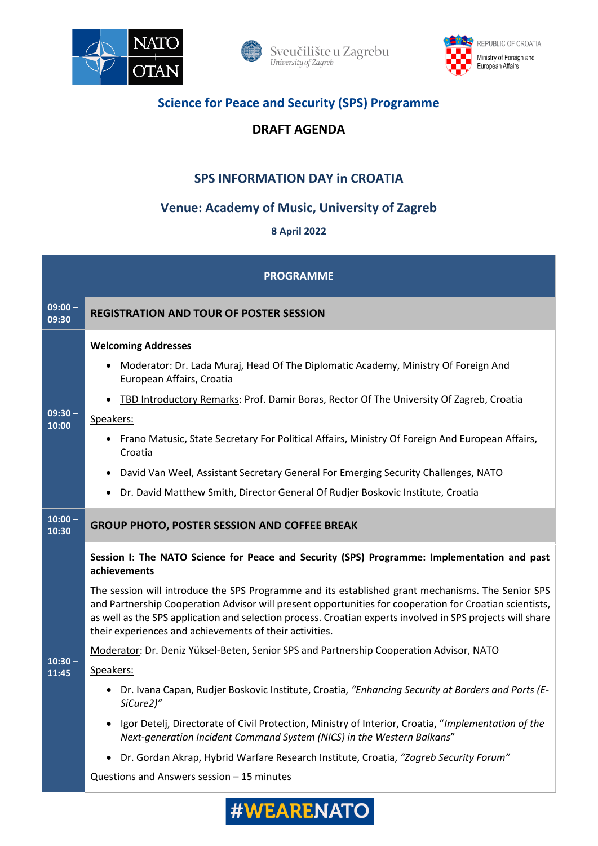







## **Science for Peace and Security (SPS) Programme**

## **DRAFT AGENDA**

# **SPS INFORMATION DAY in CROATIA**

# **Venue: Academy of Music, University of Zagreb**

## **8 April 2022**

| <b>PROGRAMME</b>   |                                                                                                                                                                                                                                                                                                                                                                                                                                                                                                                                                                                                                                                                                                                                                                                                                                                                                                                                                                                                                                                        |
|--------------------|--------------------------------------------------------------------------------------------------------------------------------------------------------------------------------------------------------------------------------------------------------------------------------------------------------------------------------------------------------------------------------------------------------------------------------------------------------------------------------------------------------------------------------------------------------------------------------------------------------------------------------------------------------------------------------------------------------------------------------------------------------------------------------------------------------------------------------------------------------------------------------------------------------------------------------------------------------------------------------------------------------------------------------------------------------|
| $09:00 -$<br>09:30 | <b>REGISTRATION AND TOUR OF POSTER SESSION</b>                                                                                                                                                                                                                                                                                                                                                                                                                                                                                                                                                                                                                                                                                                                                                                                                                                                                                                                                                                                                         |
| $09:30 -$<br>10:00 | <b>Welcoming Addresses</b><br>Moderator: Dr. Lada Muraj, Head Of The Diplomatic Academy, Ministry Of Foreign And<br>European Affairs, Croatia<br>TBD Introductory Remarks: Prof. Damir Boras, Rector Of The University Of Zagreb, Croatia<br>Speakers:<br>• Frano Matusic, State Secretary For Political Affairs, Ministry Of Foreign And European Affairs,<br>Croatia<br>David Van Weel, Assistant Secretary General For Emerging Security Challenges, NATO<br>Dr. David Matthew Smith, Director General Of Rudjer Boskovic Institute, Croatia<br>$\bullet$                                                                                                                                                                                                                                                                                                                                                                                                                                                                                           |
| $10:00 -$<br>10:30 | <b>GROUP PHOTO, POSTER SESSION AND COFFEE BREAK</b>                                                                                                                                                                                                                                                                                                                                                                                                                                                                                                                                                                                                                                                                                                                                                                                                                                                                                                                                                                                                    |
| $10:30 -$<br>11:45 | Session I: The NATO Science for Peace and Security (SPS) Programme: Implementation and past<br>achievements<br>The session will introduce the SPS Programme and its established grant mechanisms. The Senior SPS<br>and Partnership Cooperation Advisor will present opportunities for cooperation for Croatian scientists,<br>as well as the SPS application and selection process. Croatian experts involved in SPS projects will share<br>their experiences and achievements of their activities.<br>Moderator: Dr. Deniz Yüksel-Beten, Senior SPS and Partnership Cooperation Advisor, NATO<br>Speakers:<br>Dr. Ivana Capan, Rudjer Boskovic Institute, Croatia, "Enhancing Security at Borders and Ports (E-<br>SiCure2)"<br>Igor Detelj, Directorate of Civil Protection, Ministry of Interior, Croatia, "Implementation of the<br>Next-generation Incident Command System (NICS) in the Western Balkans"<br>Dr. Gordan Akrap, Hybrid Warfare Research Institute, Croatia, "Zagreb Security Forum"<br>Questions and Answers session - 15 minutes |